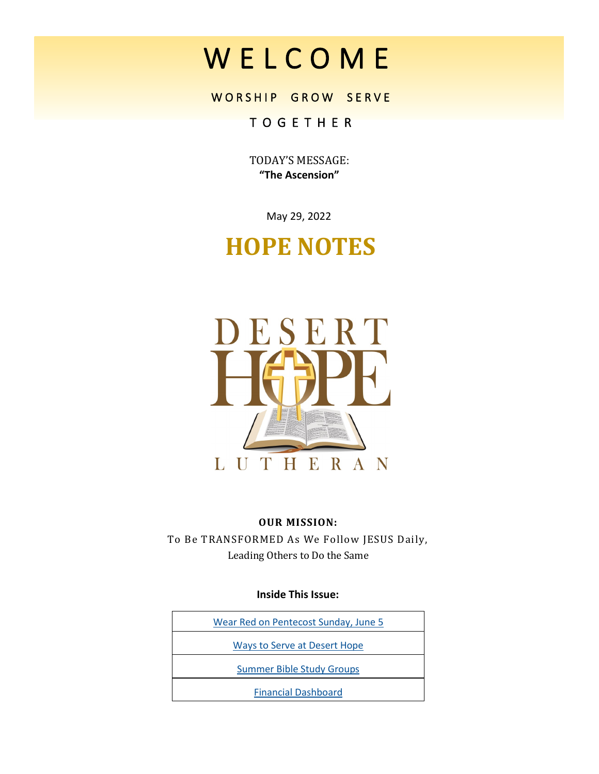# W E L C O M E

# WORSHIP GROW SERVE

# T O G E T H E R

TODAY'S MESSAGE: **"The Ascension"**

May 29, 2022

# **HOPE NOTES**



#### **OUR MISSION:**

To Be TRANSFORMED As We Follow JESUS Daily, Leading Others to Do the Same

**Inside This Issue:**

| Wear Red on Pentecost Sunday, June 5 |
|--------------------------------------|
| Ways to Serve at Desert Hope         |
| <b>Summer Bible Study Groups</b>     |
| <b>Financial Dashboard</b>           |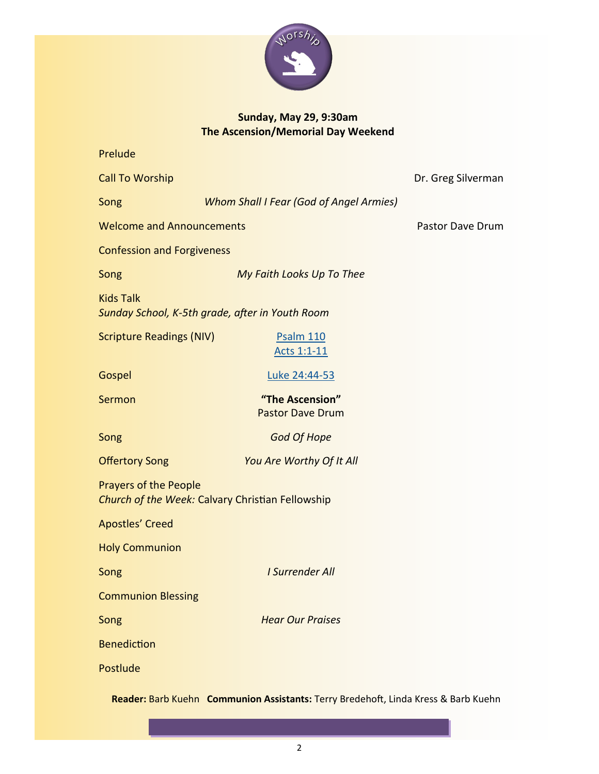

# **Sunday, May 29, 9:30am The Ascension/Memorial Day Weekend**

| Prelude                                                                          |                                                |                    |  |  |
|----------------------------------------------------------------------------------|------------------------------------------------|--------------------|--|--|
| <b>Call To Worship</b>                                                           |                                                | Dr. Greg Silverman |  |  |
| Song                                                                             | <b>Whom Shall I Fear (God of Angel Armies)</b> |                    |  |  |
| <b>Welcome and Announcements</b>                                                 | Pastor Dave Drum                               |                    |  |  |
| <b>Confession and Forgiveness</b>                                                |                                                |                    |  |  |
| Song                                                                             | My Faith Looks Up To Thee                      |                    |  |  |
| <b>Kids Talk</b><br>Sunday School, K-5th grade, after in Youth Room              |                                                |                    |  |  |
| <b>Scripture Readings (NIV)</b>                                                  | <b>Psalm 110</b><br>Acts 1:1-11                |                    |  |  |
| Gospel                                                                           | Luke 24:44-53                                  |                    |  |  |
| Sermon                                                                           | "The Ascension"<br><b>Pastor Dave Drum</b>     |                    |  |  |
| Song                                                                             | <b>God Of Hope</b>                             |                    |  |  |
| <b>Offertory Song</b>                                                            | You Are Worthy Of It All                       |                    |  |  |
| <b>Prayers of the People</b><br>Church of the Week: Calvary Christian Fellowship |                                                |                    |  |  |
| <b>Apostles' Creed</b>                                                           |                                                |                    |  |  |
| <b>Holy Communion</b>                                                            |                                                |                    |  |  |
| Song                                                                             | I Surrender All                                |                    |  |  |
| <b>Communion Blessing</b>                                                        |                                                |                    |  |  |
| Song                                                                             | <b>Hear Our Praises</b>                        |                    |  |  |
| <b>Benediction</b>                                                               |                                                |                    |  |  |
| Postlude                                                                         |                                                |                    |  |  |

**Reader:** Barb Kuehn **Communion Assistants:** Terry Bredehoft, Linda Kress & Barb Kuehn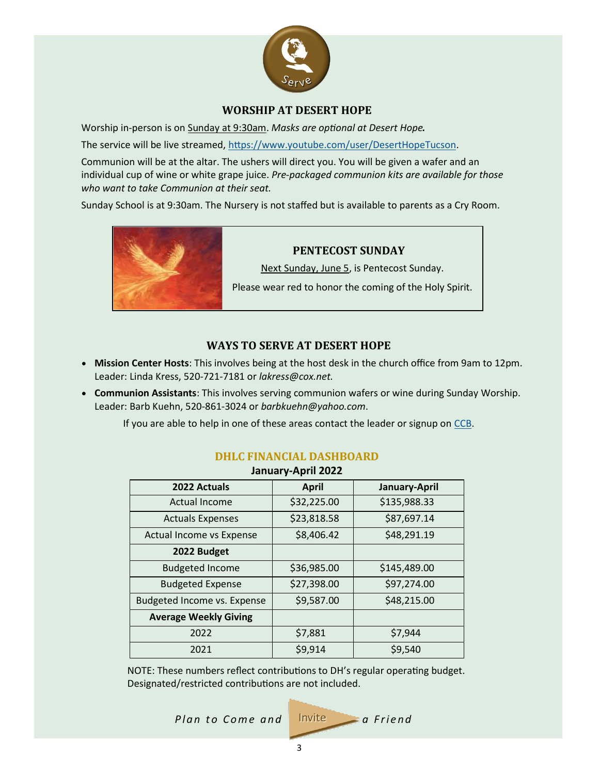

#### **WORSHIP AT DESERT HOPE**

<span id="page-2-0"></span>Worship in-person is on Sunday at 9:30am. *Masks are optional at Desert Hope.*

The service will be live streamed, [https://www.youtube.com/user/DesertHopeTucson.](https://www.youtube.com/user/DesertHopeTucson)

Communion will be at the altar. The ushers will direct you. You will be given a wafer and an individual cup of wine or white grape juice. *Pre-packaged communion kits are available for those who want to take Communion at their seat.*

Sunday School is at 9:30am. The Nursery is not staffed but is available to parents as a Cry Room.



#### **PENTECOST SUNDAY**

Next Sunday, June 5, is Pentecost Sunday.

Please wear red to honor the coming of the Holy Spirit.

#### **WAYS TO SERVE AT DESERT HOPE**

- **Mission Center Hosts**: This involves being at the host desk in the church office from 9am to 12pm. Leader: Linda Kress, 520-721-7181 or *lakress@cox.net.*
- **Communion Assistants**: This involves serving communion wafers or wine during Sunday Worship. Leader: Barb Kuehn, 520-861-3024 or *barbkuehn@yahoo.com*.

If you are able to help in one of these areas contact the leader or signup on [CCB.](https://deserthope.ccbchurch.com/goto/login) 

| <u>aanaan ku kuu waw</u>     |              |               |  |  |
|------------------------------|--------------|---------------|--|--|
| 2022 Actuals                 | <b>April</b> | January-April |  |  |
| Actual Income                | \$32,225.00  | \$135,988.33  |  |  |
| <b>Actuals Expenses</b>      | \$23,818.58  | \$87,697.14   |  |  |
| Actual Income vs Expense     | \$8,406.42   | \$48,291.19   |  |  |
| 2022 Budget                  |              |               |  |  |
| <b>Budgeted Income</b>       | \$36,985.00  | \$145,489.00  |  |  |
| <b>Budgeted Expense</b>      | \$27,398.00  | \$97,274.00   |  |  |
| Budgeted Income vs. Expense  | \$9,587.00   | \$48,215.00   |  |  |
| <b>Average Weekly Giving</b> |              |               |  |  |
| 2022                         | \$7,881      | \$7,944       |  |  |
| 2021                         | \$9,914      | \$9,540       |  |  |

#### **DHLC FINANCIAL DASHBOARD January-April 2022**

NOTE: These numbers reflect contributions to DH's regular operating budget. Designated/restricted contributions are not included.

*Plan to Come and* 

$$
Invite \qquad a \text{ } Find
$$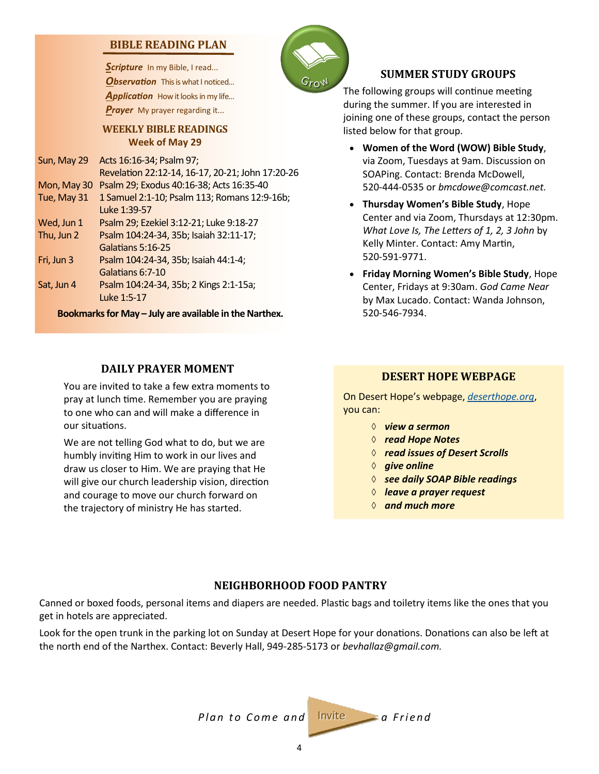#### <span id="page-3-0"></span>**BIBLE READING PLAN**

Scripture In my Bible, I read... **Observation** This is what I noticed... Application How it looks in my life... *Prayer* My prayer regarding it...

#### **WEEKLY BIBLE READINGS Week of May 29**

| Sun, May 29 | Acts 16:16-34; Psalm 97;                         |
|-------------|--------------------------------------------------|
|             | Revelation 22:12-14, 16-17, 20-21; John 17:20-26 |
| Mon, May 30 | Psalm 29; Exodus 40:16-38; Acts 16:35-40         |
| Tue, May 31 | 1 Samuel 2:1-10; Psalm 113; Romans 12:9-16b;     |
|             | Luke 1:39-57                                     |
| Wed, Jun 1  | Psalm 29; Ezekiel 3:12-21; Luke 9:18-27          |
| Thu, Jun 2  | Psalm 104:24-34, 35b; Isaiah 32:11-17;           |
|             | Galatians 5:16-25                                |
| Fri, Jun 3  | Psalm 104:24-34, 35b; Isaiah 44:1-4;             |
|             | Galatians 6:7-10                                 |
| Sat, Jun 4  | Psalm 104:24-34, 35b; 2 Kings 2:1-15a;           |
|             | Luke 1:5-17                                      |
|             |                                                  |

**Bookmarks for May – July are available in the Narthex.**

#### **DAILY PRAYER MOMENT**

You are invited to take a few extra moments to pray at lunch time. Remember you are praying to one who can and will make a difference in our situations.

We are not telling God what to do, but we are humbly inviting Him to work in our lives and draw us closer to Him. We are praying that He will give our church leadership vision, direction and courage to move our church forward on the trajectory of ministry He has started.



#### **SUMMER STUDY GROUPS**

The following groups will continue meeting during the summer. If you are interested in joining one of these groups, contact the person listed below for that group.

- **Women of the Word (WOW) Bible Study**, via Zoom, Tuesdays at 9am. Discussion on SOAPing. Contact: Brenda McDowell, 520-444-0535 or *bmcdowe@comcast.net.*
- **Thursday Women's Bible Study**, Hope Center and via Zoom, Thursdays at 12:30pm. *What Love Is, The Letters of 1, 2, 3 John* by Kelly Minter. Contact: Amy Martin, 520-591-9771.
- **Friday Morning Women's Bible Study**, Hope Center, Fridays at 9:30am. *God Came Near*  by Max Lucado. Contact: Wanda Johnson, 520-546-7934.

#### **DESERT HOPE WEBPAGE**

On Desert Hope's webpage, *<deserthope.org>*, you can:

- *view a sermon*
- *read Hope Notes*
- *read issues of Desert Scrolls*
- *♦ give online*
- *see daily SOAP Bible readings*
- *leave a prayer request*
- *and much more*

### **NEIGHBORHOOD FOOD PANTRY**

Canned or boxed foods, personal items and diapers are needed. Plastic bags and toiletry items like the ones that you get in hotels are appreciated.

Look for the open trunk in the parking lot on Sunday at Desert Hope for your donations. Donations can also be left at the north end of the Narthex. Contact: Beverly Hall, 949-285-5173 or *bevhallaz@gmail.com.*

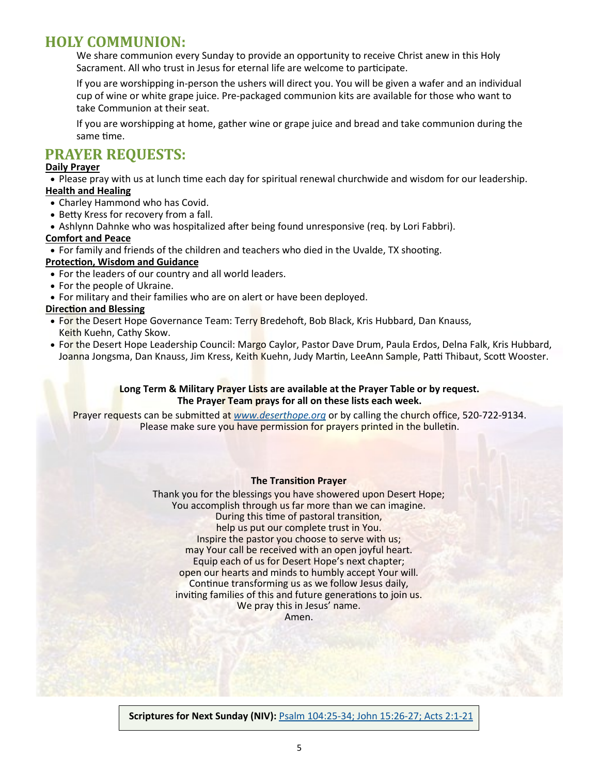# **HOLY COMMUNION:**

We share communion every Sunday to provide an opportunity to receive Christ anew in this Holy Sacrament. All who trust in Jesus for eternal life are welcome to participate.

If you are worshipping in-person the ushers will direct you. You will be given a wafer and an individual cup of wine or white grape juice. Pre-packaged communion kits are available for those who want to take Communion at their seat.

If you are worshipping at home, gather wine or grape juice and bread and take communion during the same time.

# **PRAYER REQUESTS:**

#### **Daily Prayer**

• Please pray with us at lunch time each day for spiritual renewal churchwide and wisdom for our leadership. **Health and Healing**

- Charley Hammond who has Covid.
- Betty Kress for recovery from a fall.

• Ashlynn Dahnke who was hospitalized after being found unresponsive (req. by Lori Fabbri).

#### **Comfort and Peace**

• For family and friends of the children and teachers who died in the Uvalde, TX shooting.

- **Protection, Wisdom and Guidance**
- For the leaders of our country and all world leaders.
- For the people of Ukraine.
- For military and their families who are on alert or have been deployed.

#### **Direction and Blessing**

- For the Desert Hope Governance Team: Terry Bredehoft, Bob Black, Kris Hubbard, Dan Knauss, Keith Kuehn, Cathy Skow.
- For the Desert Hope Leadership Council: Margo Caylor, Pastor Dave Drum, Paula Erdos, Delna Falk, Kris Hubbard, Joanna Jongsma, Dan Knauss, Jim Kress, Keith Kuehn, Judy Martin, LeeAnn Sample, Patti Thibaut, Scott Wooster.

#### **Long Term & Military Prayer Lists are available at the Prayer Table or by request. The Prayer Team prays for all on these lists each week.**

Prayer requests can be submitted at *[www.deserthope.org](http://www.deserthope.org)* or by calling the church office, 520-722-9134. Please make sure you have permission for prayers printed in the bulletin.

#### **The Transition Prayer**

Thank you for the blessings you have showered upon Desert Hope; You accomplish through us far more than we can imagine. During this time of pastoral transition, help us put our complete trust in You. Inspire the pastor you choose to serve with us; may Your call be received with an open joyful heart. Equip each of us for Desert Hope's next chapter; open our hearts and minds to humbly accept Your will. Continue transforming us as we follow Jesus daily, inviting families of this and future generations to join us. We pray this in Jesus' name. Amen.

**Scriptures for Next Sunday (NIV):** Psalm 104:25-[34; John 15:26](https://www.biblegateway.com/passage/?search=Psalm+104%3A25-34%3B+John+15%3A26-27%3B+Acts+2%3A1-21&version=NIV)-27; Acts 2:1-21